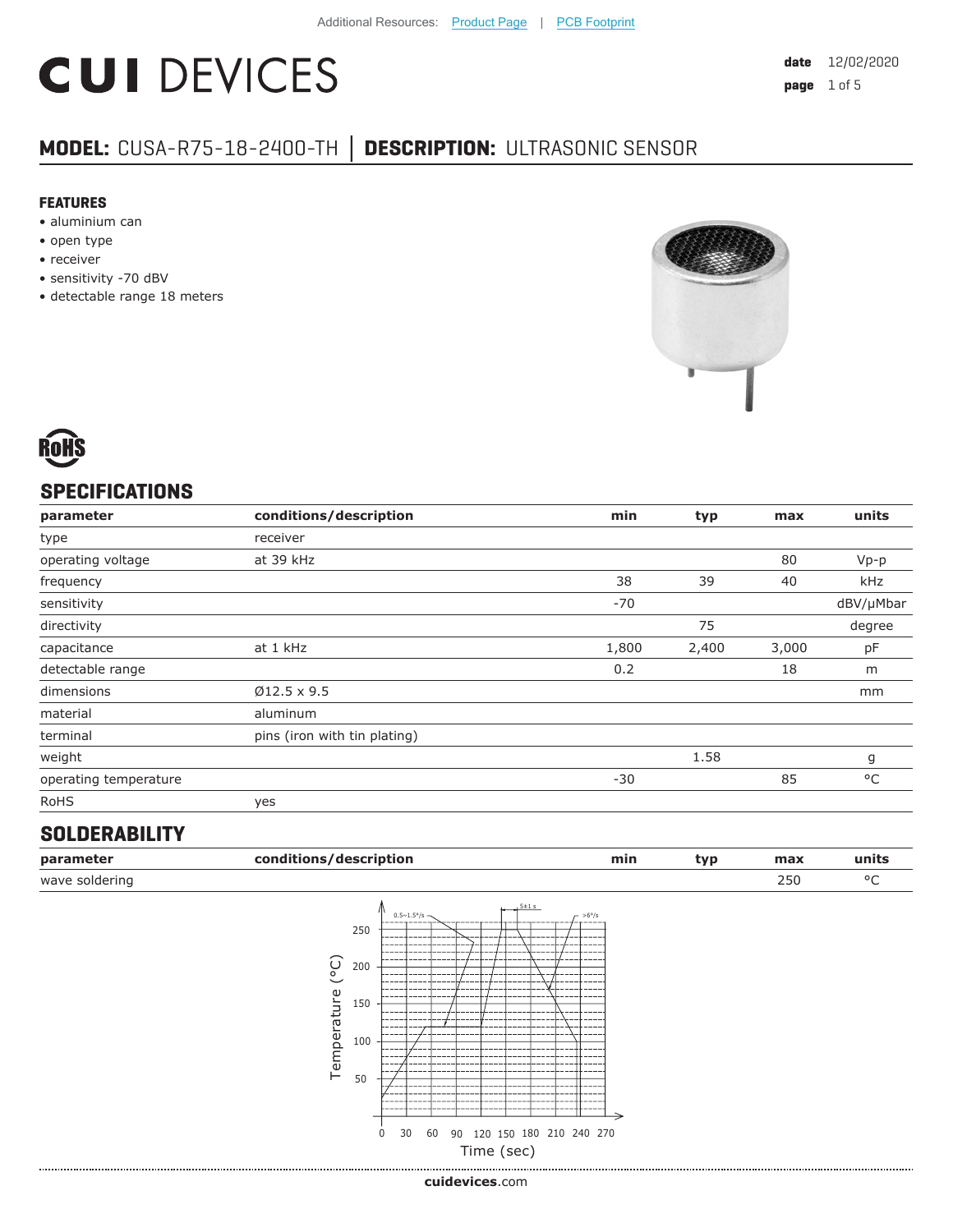# **CUI DEVICES**

### **MODEL:** CUSA-R75-18-2400-TH **│ DESCRIPTION:** ULTRASONIC SENSOR

#### **FEATURES**

- aluminium can
- open type
- receiver
- sensitivity -70 dBV
- detectable range 18 meters





#### **SPECIFICATIONS**

| parameter             | conditions/description       | min   | typ   | max   | units        |
|-----------------------|------------------------------|-------|-------|-------|--------------|
| type                  | receiver                     |       |       |       |              |
| operating voltage     | at 39 kHz                    |       |       | 80    | $Vp-p$       |
| frequency             |                              | 38    | 39    | 40    | kHz          |
| sensitivity           |                              | $-70$ |       |       | dBV/µMbar    |
| directivity           |                              |       | 75    |       | degree       |
| capacitance           | at 1 kHz                     | 1,800 | 2,400 | 3,000 | pF           |
| detectable range      |                              | 0.2   |       | 18    | m            |
| dimensions            | $Ø12.5 \times 9.5$           |       |       |       | mm           |
| material              | aluminum                     |       |       |       |              |
| terminal              | pins (iron with tin plating) |       |       |       |              |
| weight                |                              |       | 1.58  |       | g            |
| operating temperature |                              | $-30$ |       | 85    | $^{\circ}$ C |
| <b>RoHS</b>           | yes                          |       |       |       |              |

#### **SOLDERABILITY**

|                                |                                                                                               |                        |           | min | typ                                      | max | units |
|--------------------------------|-----------------------------------------------------------------------------------------------|------------------------|-----------|-----|------------------------------------------|-----|-------|
|                                |                                                                                               |                        |           |     |                                          | 250 | °C    |
| $\widetilde{C}$<br>Temperature | $0.5 \sim 1.5^{\circ}/s$ -<br>250<br>----<br>----<br>200<br>150<br>100<br>50<br>0<br>30<br>60 | $5 + 1s$               | $-$ >6°/s |     |                                          |     |       |
|                                |                                                                                               | conditions/description |           |     | 90 120 150 180 210 240 270<br>Time (sec) |     |       |

**cui[devices](https://www.cuidevices.com/track?actionLabel=Datasheet-ClickThrough-HomePage&label=CUSA-R75-18-2400-TH.pdf&path=/)**.com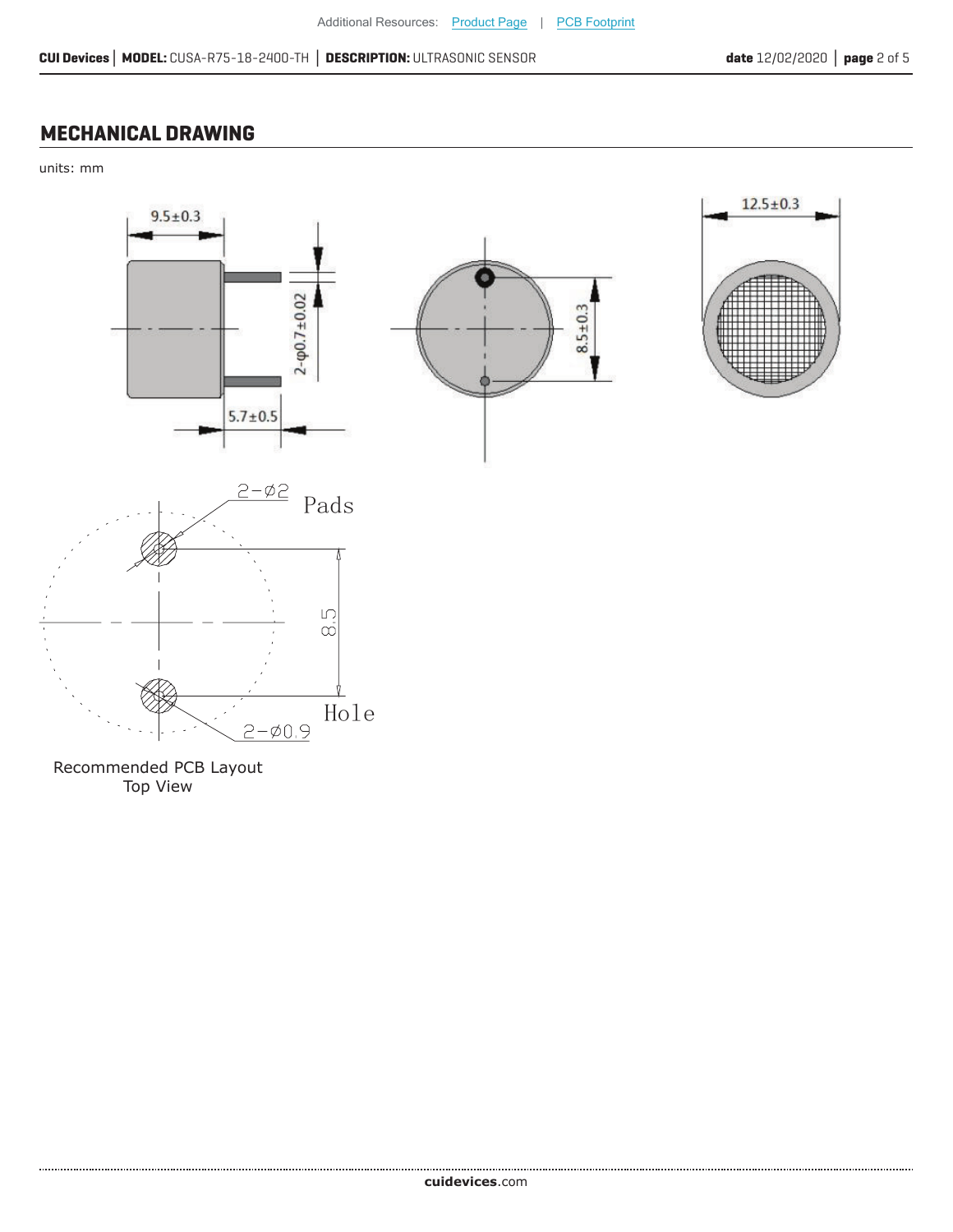#### **MECHANICAL DRAWING**

units: mm



Recommended PCB Layout Top View

......................

 $2 - 0.9$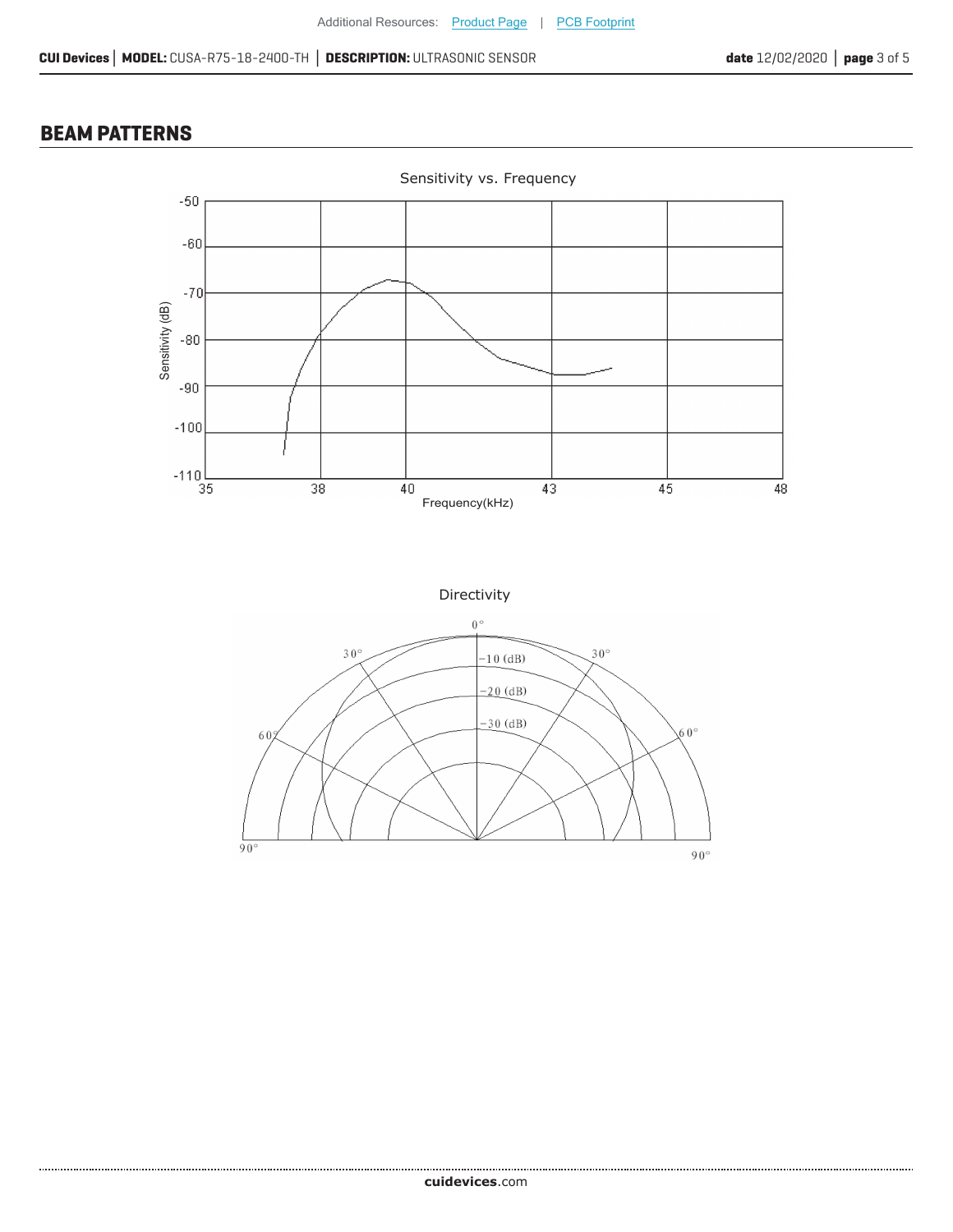#### **BEAM PATTERNS**

.......................



Directivity

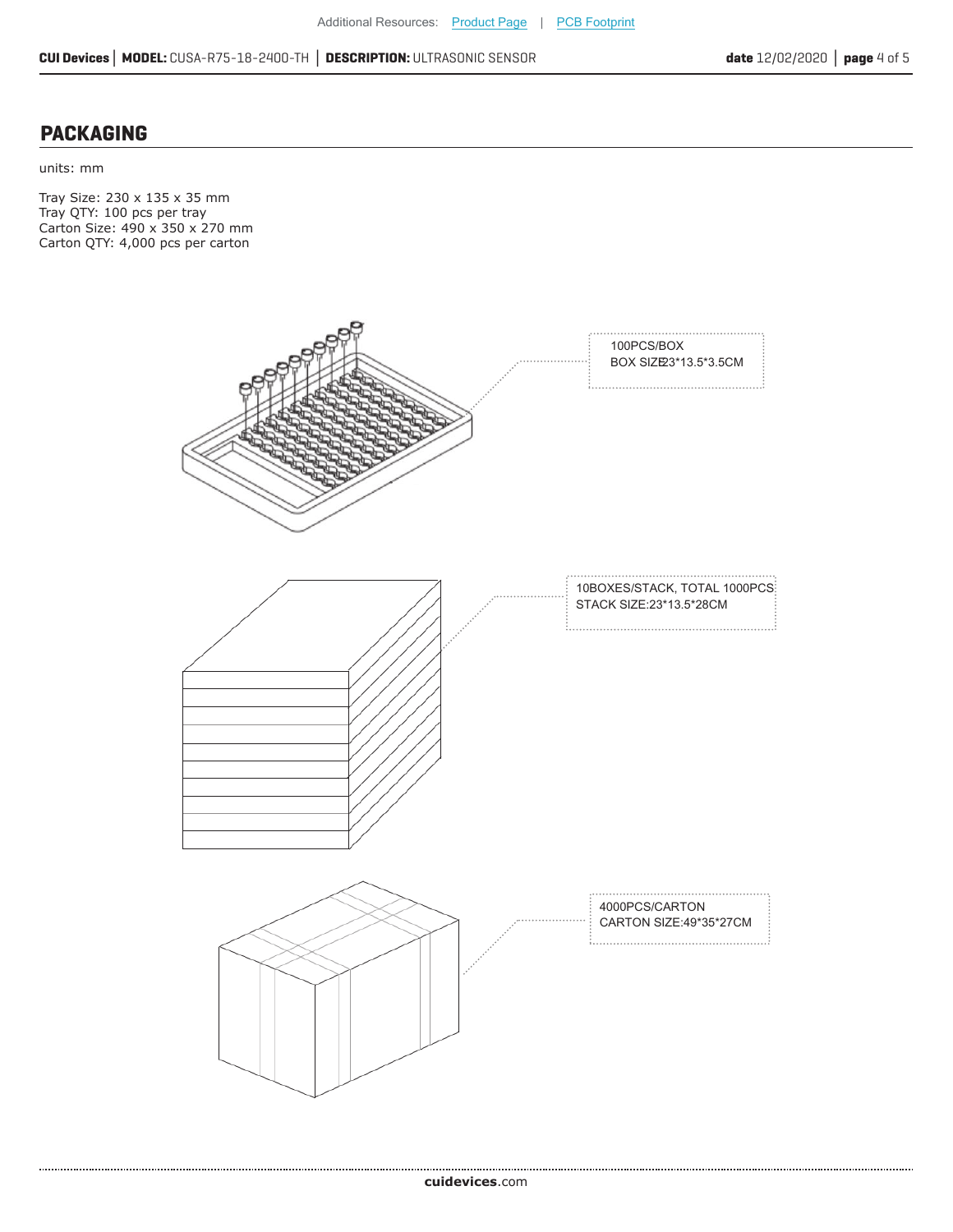#### **PACKAGING**

units: mm

Tray Size: 230 x 135 x 35 mm Tray QTY: 100 pcs per tray Carton Size: 490 x 350 x 270 mm Carton QTY: 4,000 pcs per carton